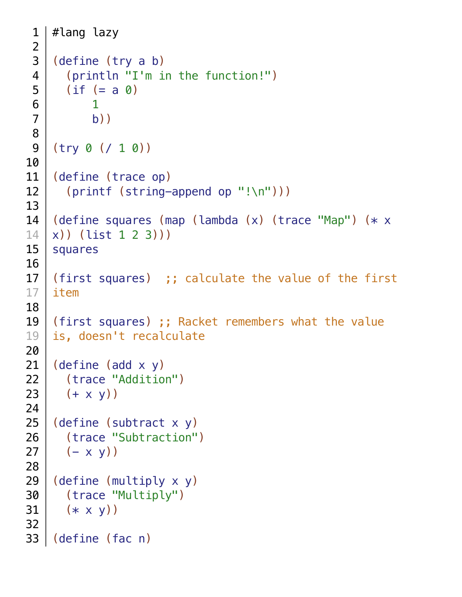```
#lang lazy
   (define (try a b)
       (println "I'm in the function!")
      (if (= a 0) 1
          b))
   (try 0 (/ 1 0))
   (define (trace op)
       (printf (string-append op "!\n")))
   (define squares (map (lambda (x) (trace "Map") (* x
   x)) (list 1 2 3)))
   squares
   (first squares) ;; calculate the value of the first 
   item
   (first squares) ;; Racket remembers what the value
   is, doesn't recalculate
   (define (add x y)
     (trace "Addition")
     (+ x y)(define (subtract x y)
       (trace "Subtraction")
      (- x y)(define (multiply x y)
       (trace "Multiply")
     (* x v))(define (fac n)
33
```